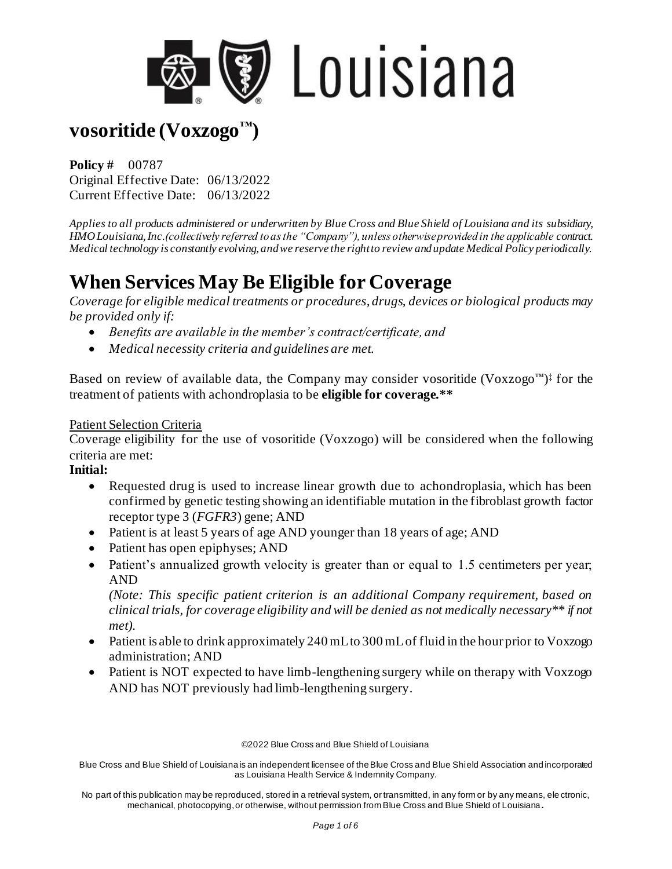

**Policy #** 00787 Original Effective Date: 06/13/2022 Current Effective Date: 06/13/2022

*Applies to all products administered or underwritten by Blue Cross and Blue Shield of Louisiana and its subsidiary, HMO Louisiana, Inc.(collectively referred to as the "Company"), unless otherwise provided in the applicable contract. Medical technology is constantly evolving, and we reserve the right to review and update Medical Policy periodically.* 

# **When Services May Be Eligible for Coverage**

*Coverage for eligible medical treatments or procedures, drugs, devices or biological products may be provided only if:* 

- *Benefits are available in the member's contract/certificate, and*
- *Medical necessity criteria and guidelines are met.*

Based on review of available data, the Company may consider vosoritide (Voxzogo<sup>™)‡</sup> for the treatment of patients with achondroplasia to be **eligible for coverage.\*\***

#### Patient Selection Criteria

Coverage eligibility for the use of vosoritide (Voxzogo) will be considered when the following criteria are met:

#### **Initial:**

- Requested drug is used to increase linear growth due to achondroplasia, which has been confirmed by genetic testing showing an identifiable mutation in the fibroblast growth factor receptor type 3 (*FGFR3*) gene; AND
- Patient is at least 5 years of age AND younger than 18 years of age; AND
- Patient has open epiphyses; AND
- Patient's annualized growth velocity is greater than or equal to 1.5 centimeters per year; AND

*(Note: This specific patient criterion is an additional Company requirement, based on clinical trials, for coverage eligibility and will be denied as not medically necessary\*\* if not met).*

- Patient is able to drink approximately 240 mL to 300 mL of fluid in the hour prior to Voxzogo administration; AND
- Patient is NOT expected to have limb-lengthening surgery while on therapy with Voxzogo AND has NOT previously had limb-lengthening surgery.

©2022 Blue Cross and Blue Shield of Louisiana

Blue Cross and Blue Shield of Louisiana is an independent licensee of the Blue Cross and Blue Shield Association and incorporated as Louisiana Health Service & Indemnity Company.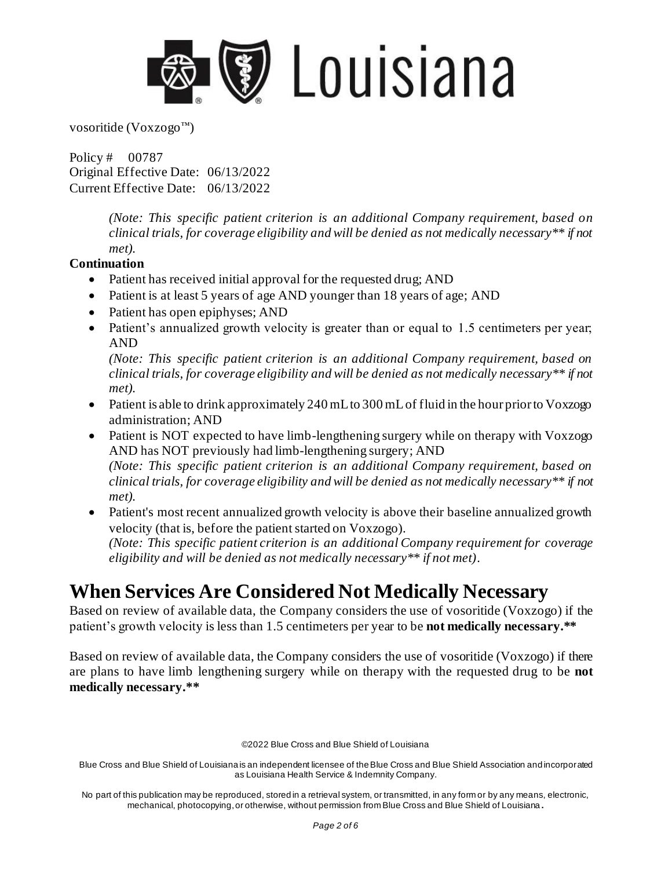

Policy # 00787 Original Effective Date: 06/13/2022 Current Effective Date: 06/13/2022

> *(Note: This specific patient criterion is an additional Company requirement, based on clinical trials, for coverage eligibility and will be denied as not medically necessary\*\* if not met).*

#### **Continuation**

- Patient has received initial approval for the requested drug; AND
- Patient is at least 5 years of age AND younger than 18 years of age; AND
- Patient has open epiphyses; AND
- Patient's annualized growth velocity is greater than or equal to 1.5 centimeters per year; AND

*(Note: This specific patient criterion is an additional Company requirement, based on clinical trials, for coverage eligibility and will be denied as not medically necessary\*\* if not met).*

- Patient is able to drink approximately 240 mL to 300 mL of fluid in the hour prior to Voxzogo administration; AND
- Patient is NOT expected to have limb-lengthening surgery while on therapy with Voxzogo AND has NOT previously had limb-lengthening surgery; AND *(Note: This specific patient criterion is an additional Company requirement, based on clinical trials, for coverage eligibility and will be denied as not medically necessary\*\* if not met).*
- Patient's most recent annualized growth velocity is above their baseline annualized growth velocity (that is, before the patient started on Voxzogo). *(Note: This specific patient criterion is an additional Company requirement for coverage eligibility and will be denied as not medically necessary\*\* if not met).*

## **When Services Are Considered Not Medically Necessary**

Based on review of available data, the Company considers the use of vosoritide (Voxzogo) if the patient's growth velocity is less than 1.5 centimeters per year to be **not medically necessary.\*\*** 

Based on review of available data, the Company considers the use of vosoritide (Voxzogo) if there are plans to have limb lengthening surgery while on therapy with the requested drug to be **not medically necessary.\*\*** 

©2022 Blue Cross and Blue Shield of Louisiana

Blue Cross and Blue Shield of Louisiana is an independent licensee of the Blue Cross and Blue Shield Association and incorporated as Louisiana Health Service & Indemnity Company.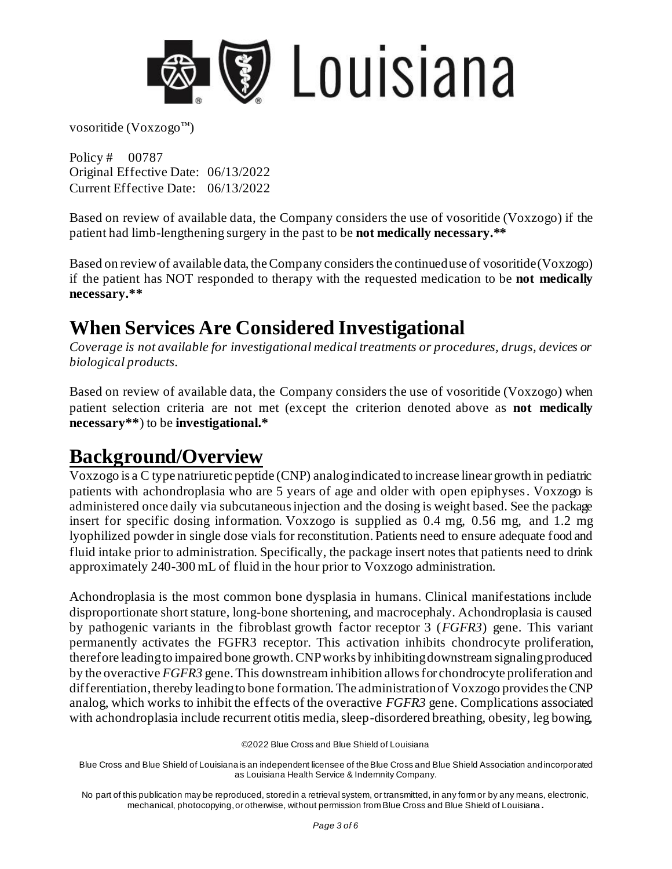

Policy # 00787 Original Effective Date: 06/13/2022 Current Effective Date: 06/13/2022

Based on review of available data, the Company considers the use of vosoritide (Voxzogo) if the patient had limb-lengthening surgery in the past to be **not medically necessary.\*\*** 

Based on review of available data, the Company considers the continued use of vosoritide (Voxzogo) if the patient has NOT responded to therapy with the requested medication to be **not medically necessary.\*\*** 

## **When Services Are Considered Investigational**

*Coverage is not available for investigational medical treatments or procedures, drugs, devices or biological products.* 

Based on review of available data, the Company considers the use of vosoritide (Voxzogo) when patient selection criteria are not met (except the criterion denoted above as **not medically necessary\*\***) to be **investigational.\*** 

## **Background/Overview**

Voxzogo is a C type natriuretic peptide (CNP) analog indicated to increase linear growth in pediatric patients with achondroplasia who are 5 years of age and older with open epiphyses. Voxzogo is administered once daily via subcutaneous injection and the dosing is weight based. See the package insert for specific dosing information. Voxzogo is supplied as 0.4 mg, 0.56 mg, and 1.2 mg lyophilized powder in single dose vials for reconstitution. Patients need to ensure adequate food and fluid intake prior to administration. Specifically, the package insert notes that patients need to drink approximately 240-300 mL of fluid in the hour prior to Voxzogo administration.

Achondroplasia is the most common bone dysplasia in humans. Clinical manifestations include disproportionate short stature, long-bone shortening, and macrocephaly. Achondroplasia is caused by pathogenic variants in the fibroblast growth factor receptor 3 (*FGFR3*) gene. This variant permanently activates the FGFR3 receptor. This activation inhibits chondrocyte proliferation, therefore leading to impaired bone growth. CNP works by inhibiting downstream signaling produced by the overactive *FGFR3* gene. This downstream inhibition allows for chondrocyte proliferation and differentiation, thereby leading to bone formation. The administration of Voxzogo provides the CNP analog, which works to inhibit the effects of the overactive *FGFR3* gene. Complications associated with achondroplasia include recurrent otitis media, sleep-disordered breathing, obesity, leg bowing,

<sup>©2022</sup> Blue Cross and Blue Shield of Louisiana

Blue Cross and Blue Shield of Louisiana is an independent licensee of the Blue Cross and Blue Shield Association and incorporated as Louisiana Health Service & Indemnity Company.

No part of this publication may be reproduced, stored in a retrieval system, or transmitted, in any form or by any means, electronic, mechanical, photocopying, or otherwise, without permission from Blue Cross and Blue Shield of Louisiana **.**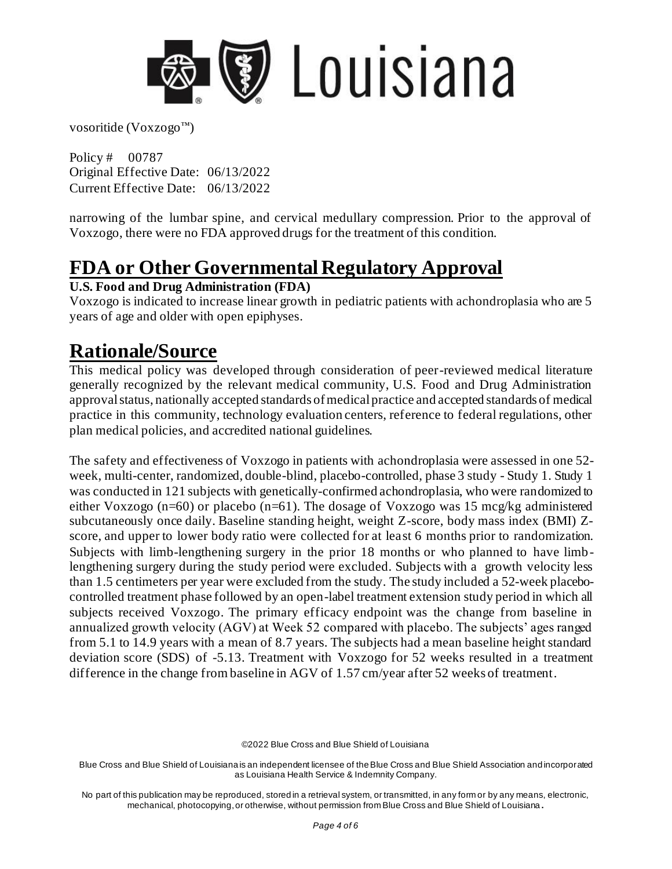

Policy # 00787 Original Effective Date: 06/13/2022 Current Effective Date: 06/13/2022

narrowing of the lumbar spine, and cervical medullary compression. Prior to the approval of Voxzogo, there were no FDA approved drugs for the treatment of this condition.

## **FDA or Other Governmental Regulatory Approval**

#### **U.S. Food and Drug Administration (FDA)**

Voxzogo is indicated to increase linear growth in pediatric patients with achondroplasia who are 5 years of age and older with open epiphyses.

## **Rationale/Source**

This medical policy was developed through consideration of peer-reviewed medical literature generally recognized by the relevant medical community, U.S. Food and Drug Administration approval status, nationally accepted standards of medical practice and accepted standards of medical practice in this community, technology evaluation centers, reference to federal regulations, other plan medical policies, and accredited national guidelines.

The safety and effectiveness of Voxzogo in patients with achondroplasia were assessed in one 52 week, multi-center, randomized, double-blind, placebo-controlled, phase 3 study - Study 1. Study 1 was conducted in 121 subjects with genetically-confirmed achondroplasia, who were randomized to either Voxzogo (n=60) or placebo (n=61). The dosage of Voxzogo was 15 mcg/kg administered subcutaneously once daily. Baseline standing height, weight Z-score, body mass index (BMI) Zscore, and upper to lower body ratio were collected for at least 6 months prior to randomization. Subjects with limb-lengthening surgery in the prior 18 months or who planned to have limb lengthening surgery during the study period were excluded. Subjects with a growth velocity less than 1.5 centimeters per year were excluded from the study. The study included a 52-week placebocontrolled treatment phase followed by an open-label treatment extension study period in which all subjects received Voxzogo. The primary efficacy endpoint was the change from baseline in annualized growth velocity (AGV) at Week 52 compared with placebo. The subjects' ages ranged from 5.1 to 14.9 years with a mean of 8.7 years. The subjects had a mean baseline height standard deviation score (SDS) of -5.13. Treatment with Voxzogo for 52 weeks resulted in a treatment difference in the change from baseline in AGV of 1.57 cm/year after 52 weeks of treatment.

©2022 Blue Cross and Blue Shield of Louisiana

Blue Cross and Blue Shield of Louisiana is an independent licensee of the Blue Cross and Blue Shield Association and incorporated as Louisiana Health Service & Indemnity Company.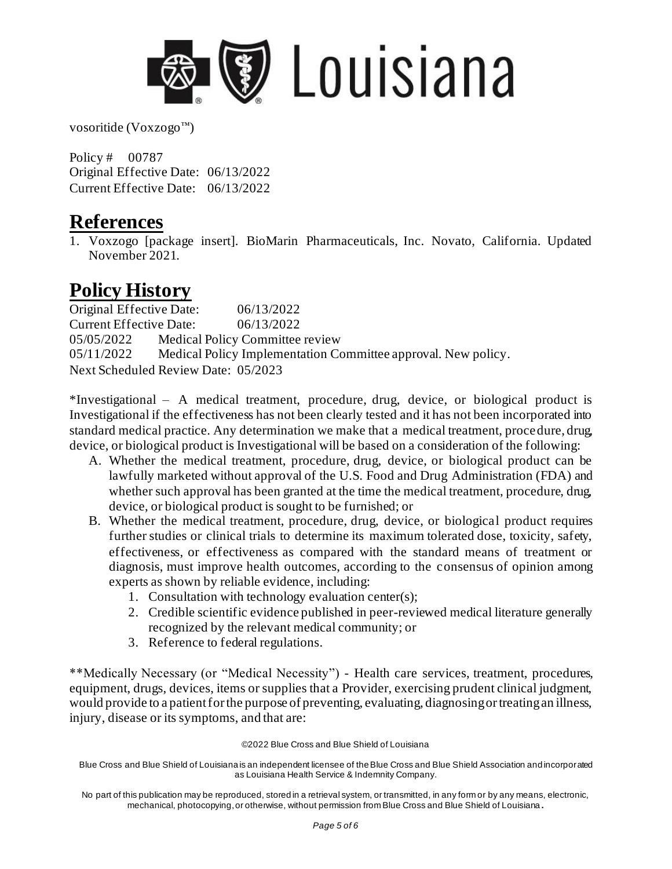

Policy # 00787 Original Effective Date: 06/13/2022 Current Effective Date: 06/13/2022

### **References**

1. Voxzogo [package insert]. BioMarin Pharmaceuticals, Inc. Novato, California. Updated November 2021.

## **Policy History**

Original Effective Date: 06/13/2022 Current Effective Date: 06/13/2022 05/05/2022 Medical Policy Committee review 05/11/2022 Medical Policy Implementation Committee approval. New policy. Next Scheduled Review Date: 05/2023

\*Investigational – A medical treatment, procedure, drug, device, or biological product is Investigational if the effectiveness has not been clearly tested and it has not been incorporated into standard medical practice. Any determination we make that a medical treatment, procedure, drug, device, or biological product is Investigational will be based on a consideration of the following:

- A. Whether the medical treatment, procedure, drug, device, or biological product can be lawfully marketed without approval of the U.S. Food and Drug Administration (FDA) and whether such approval has been granted at the time the medical treatment, procedure, drug, device, or biological product is sought to be furnished; or
- B. Whether the medical treatment, procedure, drug, device, or biological product requires further studies or clinical trials to determine its maximum tolerated dose, toxicity, safety, effectiveness, or effectiveness as compared with the standard means of treatment or diagnosis, must improve health outcomes, according to the consensus of opinion among experts as shown by reliable evidence, including:
	- 1. Consultation with technology evaluation center(s);
	- 2. Credible scientific evidence published in peer-reviewed medical literature generally recognized by the relevant medical community; or
	- 3. Reference to federal regulations.

\*\*Medically Necessary (or "Medical Necessity") - Health care services, treatment, procedures, equipment, drugs, devices, items or supplies that a Provider, exercising prudent clinical judgment, would provide to a patient for the purpose of preventing, evaluating, diagnosing or treating an illness, injury, disease or its symptoms, and that are:

©2022 Blue Cross and Blue Shield of Louisiana

Blue Cross and Blue Shield of Louisiana is an independent licensee of the Blue Cross and Blue Shield Association and incorporated as Louisiana Health Service & Indemnity Company.